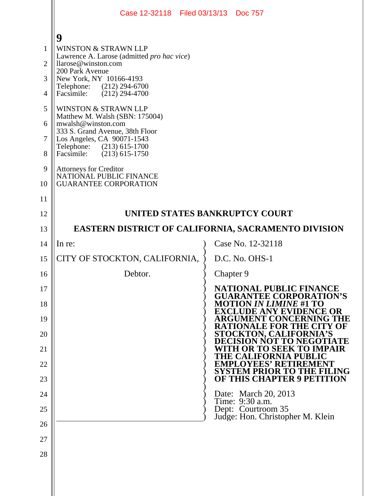|                | Case 12-32118 Filed 03/13/13 Doc 757                              |           |                                                                   |
|----------------|-------------------------------------------------------------------|-----------|-------------------------------------------------------------------|
|                | 9                                                                 |           |                                                                   |
| $\mathbf{1}$   | <b>WINSTON &amp; STRAWN LLP</b>                                   |           |                                                                   |
| $\overline{2}$ | Lawrence A. Larose (admitted pro hac vice)<br>llarose@winston.com |           |                                                                   |
| 3              | 200 Park Avenue<br>New York, NY 10166-4193                        |           |                                                                   |
| 4              | Telephone: (212) 294-6700<br>$(212)$ 294-4700<br>Facsimile:       |           |                                                                   |
| 5              | WINSTON & STRAWN LLP                                              |           |                                                                   |
| 6              | Matthew M. Walsh (SBN: 175004)<br>mwalsh@winston.com              |           |                                                                   |
| $\overline{7}$ | 333 S. Grand Avenue, 38th Floor<br>Los Angeles, CA 90071-1543     |           |                                                                   |
| 8              | Telephone: (213) 615-1700<br>$(213)$ 615-1750<br>Facsimile:       |           |                                                                   |
| 9              | Attorneys for Creditor<br>NATIONAL PUBLIC FINANCE                 |           |                                                                   |
| 10             | <b>GUARANTEE CORPORATION</b>                                      |           |                                                                   |
| 11             |                                                                   |           |                                                                   |
| 12             | UNITED STATES BANKRUPTCY COURT                                    |           |                                                                   |
| 13             | <b>EASTERN DISTRICT OF CALIFORNIA, SACRAMENTO DIVISION</b>        |           |                                                                   |
| 14             | In re:                                                            |           | Case No. 12-32118                                                 |
| 15             | CITY OF STOCKTON, CALIFORNIA,                                     |           | D.C. No. OHS-1                                                    |
| 16             | Debtor.                                                           | Chapter 9 |                                                                   |
| 17             |                                                                   |           | <b>NATIONAL PUBLIC FINANCE</b><br><b>GUARANTEE CORPORATION'S</b>  |
| 18             |                                                                   |           | <b>MOTION IN LIMINE #1 TO</b><br><b>EXCLUDE ANY EVIDENCE OR</b>   |
| 19             |                                                                   |           | ARGUMENT CONCERNING THE<br>RATIONALE FOR THE CI<br>TY OF          |
| 20             |                                                                   |           | <b>STOCKTON, CALIFORNIA'S</b><br><b>TO NEGOTIATE</b><br>ND        |
| 21             |                                                                   |           | OR TO SEEK<br><b>TO IMPAIR</b><br>[FORNIA                         |
| 22             |                                                                   |           | <b>EMPLOYEES' RETIREMENT</b><br><b>SYSTEM PRIOR TO THE FILING</b> |
| 23             |                                                                   |           | <b>OF THIS CHAPTER 9 PETITION</b>                                 |
| 24             |                                                                   |           | Date: March 20, 2013<br>Time: 9:30 a.m.                           |
| 25             |                                                                   |           | Dept: Courtroom 35<br>Judge: Hon. Christopher M. Klein            |
| 26             |                                                                   |           |                                                                   |
| 27             |                                                                   |           |                                                                   |
| 28             |                                                                   |           |                                                                   |
|                |                                                                   |           |                                                                   |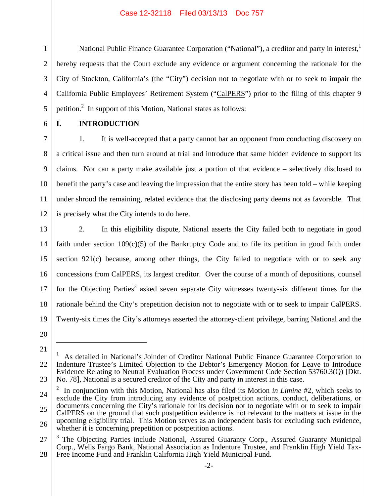National Public Finance Guarantee Corporation ("National"), a creditor and party in interest,<sup>1</sup> hereby requests that the Court exclude any evidence or argument concerning the rationale for the City of Stockton, California's (the "City") decision not to negotiate with or to seek to impair the California Public Employees' Retirement System ("CalPERS") prior to the filing of this chapter 9 petition.<sup>2</sup> In support of this Motion, National states as follows:

6

7

8

9

1

2

3

4

5

# **I. INTRODUCTION**

10 1. It is well-accepted that a party cannot bar an opponent from conducting discovery on a critical issue and then turn around at trial and introduce that same hidden evidence to support its claims. Nor can a party make available just a portion of that evidence – selectively disclosed to benefit the party's case and leaving the impression that the entire story has been told – while keeping under shroud the remaining, related evidence that the disclosing party deems not as favorable. That is precisely what the City intends to do here.

13

11

12

14 15 16 17 18 19 2. In this eligibility dispute, National asserts the City failed both to negotiate in good faith under section 109(c)(5) of the Bankruptcy Code and to file its petition in good faith under section 921(c) because, among other things, the City failed to negotiate with or to seek any concessions from CalPERS, its largest creditor. Over the course of a month of depositions, counsel for the Objecting Parties<sup>3</sup> asked seven separate City witnesses twenty-six different times for the rationale behind the City's prepetition decision not to negotiate with or to seek to impair CalPERS. Twenty-six times the City's attorneys asserted the attorney-client privilege, barring National and the

20 21

 $\overline{a}$ 

<sup>22</sup> 23 1 As detailed in National's Joinder of Creditor National Public Finance Guarantee Corporation to Indenture Trustee's Limited Objection to the Debtor's Emergency Motion for Leave to Introduce Evidence Relating to Neutral Evaluation Process under Government Code Section 53760.3(Q) [Dkt. No. 78], National is a secured creditor of the City and party in interest in this case.

<sup>24</sup> 25 26 2 In conjunction with this Motion, National has also filed its Motion *in Limine* #2, which seeks to exclude the City from introducing any evidence of postpetition actions, conduct, deliberations, or documents concerning the City's rationale for its decision not to negotiate with or to seek to impair CalPERS on the ground that such postpetition evidence is not relevant to the matters at issue in the upcoming eligibility trial. This Motion serves as an independent basis for excluding such evidence, whether it is concerning prepetition or postpetition actions.

<sup>27</sup> 28 <sup>3</sup> The Objecting Parties include National, Assured Guaranty Corp., Assured Guaranty Municipal Corp., Wells Fargo Bank, National Association as Indenture Trustee, and Franklin High Yield Tax-Free Income Fund and Franklin California High Yield Municipal Fund.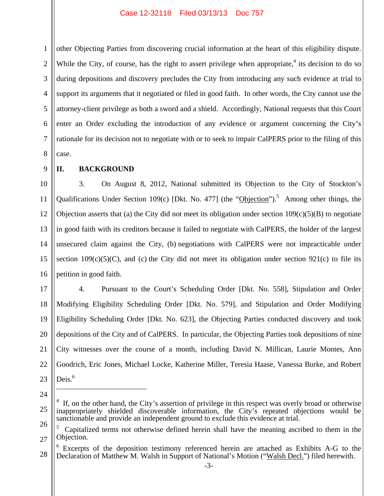1 2 3 4 5 6 7 8 other Objecting Parties from discovering crucial information at the heart of this eligibility dispute. While the City, of course, has the right to assert privilege when appropriate,<sup>4</sup> its decision to do so during depositions and discovery precludes the City from introducing any such evidence at trial to support its arguments that it negotiated or filed in good faith. In other words, the City cannot use the attorney-client privilege as both a sword and a shield. Accordingly, National requests that this Court enter an Order excluding the introduction of any evidence or argument concerning the City's rationale for its decision not to negotiate with or to seek to impair CalPERS prior to the filing of this case.

9

## **II. BACKGROUND**

10 11 12 13 14 15 16 3. On August 8, 2012, National submitted its Objection to the City of Stockton's Qualifications Under Section 109(c) [Dkt. No. 477] (the "Objection").<sup>5</sup> Among other things, the Objection asserts that (a) the City did not meet its obligation under section  $109(c)(5)(B)$  to negotiate in good faith with its creditors because it failed to negotiate with CalPERS, the holder of the largest unsecured claim against the City, (b) negotiations with CalPERS were not impracticable under section  $109(c)(5)(C)$ , and (c) the City did not meet its obligation under section 921(c) to file its petition in good faith.

17 18 19 20 21 22 23 4. Pursuant to the Court's Scheduling Order [Dkt. No. 558], Stipulation and Order Modifying Eligibility Scheduling Order [Dkt. No. 579], and Stipulation and Order Modifying Eligibility Scheduling Order [Dkt. No. 623], the Objecting Parties conducted discovery and took depositions of the City and of CalPERS. In particular, the Objecting Parties took depositions of nine City witnesses over the course of a month, including David N. Millican, Laurie Montes, Ann Goodrich, Eric Jones, Michael Locke, Katherine Miller, Teresia Haase, Vanessa Burke, and Robert Deis.<sup>6</sup>

24

 $\overline{a}$ 

<sup>25</sup> 26 4 If, on the other hand, the City's assertion of privilege in this respect was overly broad or otherwise inappropriately shielded discoverable information, the City's repeated objections would be sanctionable and provide an independent ground to exclude this evidence at trial.

<sup>27</sup> 5 Capitalized terms not otherwise defined herein shall have the meaning ascribed to them in the Objection.

<sup>28</sup> <sup>6</sup> Excerpts of the deposition testimony referenced herein are attached as Exhibits A-G to the Declaration of Matthew M. Walsh in Support of National's Motion ("Walsh Decl.") filed herewith.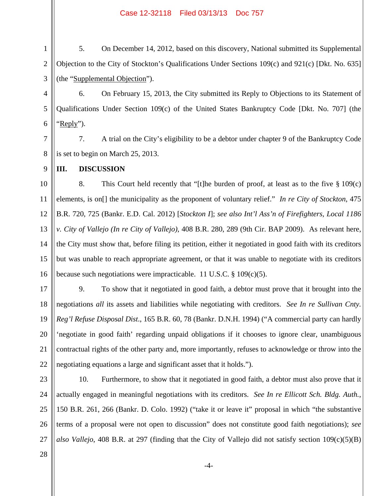1 2 3 5. On December 14, 2012, based on this discovery, National submitted its Supplemental Objection to the City of Stockton's Qualifications Under Sections 109(c) and 921(c) [Dkt. No. 635] (the "Supplemental Objection").

6. On February 15, 2013, the City submitted its Reply to Objections to its Statement of Qualifications Under Section 109(c) of the United States Bankruptcy Code [Dkt. No. 707] (the "Reply").

7 8 7. A trial on the City's eligibility to be a debtor under chapter 9 of the Bankruptcy Code is set to begin on March 25, 2013.

**III. DISCUSSION** 

4

5

6

9

10 11 12 13 14 15 16 8. This Court held recently that "[t]he burden of proof, at least as to the five § 109(c) elements, is on[] the municipality as the proponent of voluntary relief." *In re City of Stockton*, 475 B.R. 720, 725 (Bankr. E.D. Cal. 2012) [*Stockton I*]; *see also Int'l Ass'n of Firefighters, Local 1186 v. City of Vallejo (In re City of Vallejo)*, 408 B.R. 280, 289 (9th Cir. BAP 2009). As relevant here, the City must show that, before filing its petition, either it negotiated in good faith with its creditors but was unable to reach appropriate agreement, or that it was unable to negotiate with its creditors because such negotiations were impracticable. 11 U.S.C. § 109(c)(5).

17 18 19 20 21 22 9. To show that it negotiated in good faith, a debtor must prove that it brought into the negotiations *all* its assets and liabilities while negotiating with creditors. *See In re Sullivan Cnty. Reg'l Refuse Disposal Dist*., 165 B.R. 60, 78 (Bankr. D.N.H. 1994) ("A commercial party can hardly 'negotiate in good faith' regarding unpaid obligations if it chooses to ignore clear, unambiguous contractual rights of the other party and, more importantly, refuses to acknowledge or throw into the negotiating equations a large and significant asset that it holds.").

23 24

25 26 27 10. Furthermore, to show that it negotiated in good faith, a debtor must also prove that it actually engaged in meaningful negotiations with its creditors. *See In re Ellicott Sch. Bldg. Auth.*, 150 B.R. 261, 266 (Bankr. D. Colo. 1992) ("take it or leave it" proposal in which "the substantive terms of a proposal were not open to discussion" does not constitute good faith negotiations); *see also Vallejo*, 408 B.R. at 297 (finding that the City of Vallejo did not satisfy section 109(c)(5)(B)

28

-4-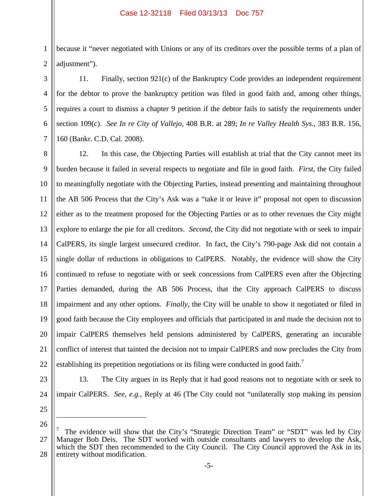1 2 because it "never negotiated with Unions or any of its creditors over the possible terms of a plan of adjustment").

11. Finally, section 921(c) of the Bankruptcy Code provides an independent requirement for the debtor to prove the bankruptcy petition was filed in good faith and, among other things, requires a court to dismiss a chapter 9 petition if the debtor fails to satisfy the requirements under section 109(c). *See In re City of Vallejo*, 408 B.R. at 289; *In re Valley Health Sys.*, 383 B.R. 156, 160 (Bankr. C.D. Cal. 2008).

8 9 10 11 12 13 14 15 16 17 18 19 20 21 22 12. In this case, the Objecting Parties will establish at trial that the City cannot meet its burden because it failed in several respects to negotiate and file in good faith. *First*, the City failed to meaningfully negotiate with the Objecting Parties, instead presenting and maintaining throughout the AB 506 Process that the City's Ask was a "take it or leave it" proposal not open to discussion either as to the treatment proposed for the Objecting Parties or as to other revenues the City might explore to enlarge the pie for all creditors. *Second*, the City did not negotiate with or seek to impair CalPERS, its single largest unsecured creditor. In fact, the City's 790-page Ask did not contain a single dollar of reductions in obligations to CalPERS. Notably, the evidence will show the City continued to refuse to negotiate with or seek concessions from CalPERS even after the Objecting Parties demanded, during the AB 506 Process, that the City approach CalPERS to discuss impairment and any other options. *Finally*, the City will be unable to show it negotiated or filed in good faith because the City employees and officials that participated in and made the decision not to impair CalPERS themselves held pensions administered by CalPERS, generating an incurable conflict of interest that tainted the decision not to impair CalPERS and now precludes the City from establishing its prepetition negotiations or its filing were conducted in good faith.<sup>7</sup>

23

24

3

4

5

6

7

13. The City argues in its Reply that it had good reasons not to negotiate with or seek to impair CalPERS. *See*, *e.g.*, Reply at 46 (The City could not "unilaterally stop making its pension

25 26

 $\overline{a}$ 

<sup>27</sup> 28 7 The evidence will show that the City's "Strategic Direction Team" or "SDT" was led by City Manager Bob Deis. The SDT worked with outside consultants and lawyers to develop the Ask, which the SDT then recommended to the City Council. The City Council approved the Ask in its entirety without modification.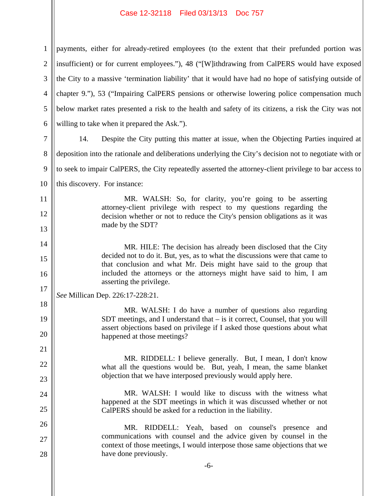1 2 3 4 5 6 payments, either for already-retired employees (to the extent that their prefunded portion was insufficient) or for current employees."), 48 ("[W]ithdrawing from CalPERS would have exposed the City to a massive 'termination liability' that it would have had no hope of satisfying outside of chapter 9."), 53 ("Impairing CalPERS pensions or otherwise lowering police compensation much below market rates presented a risk to the health and safety of its citizens, a risk the City was not willing to take when it prepared the Ask.").

7 8 9 10 14. Despite the City putting this matter at issue, when the Objecting Parties inquired at deposition into the rationale and deliberations underlying the City's decision not to negotiate with or to seek to impair CalPERS, the City repeatedly asserted the attorney-client privilege to bar access to this discovery. For instance:

> MR. WALSH: So, for clarity, you're going to be asserting attorney-client privilege with respect to my questions regarding the decision whether or not to reduce the City's pension obligations as it was made by the SDT?

> MR. HILE: The decision has already been disclosed that the City decided not to do it. But, yes, as to what the discussions were that came to that conclusion and what Mr. Deis might have said to the group that included the attorneys or the attorneys might have said to him, I am asserting the privilege.

*See* Millican Dep. 226:17-228:21.

11

12

13

14

15

16

17

18

19

20

21

22

23

24

25

26

27

28

MR. WALSH: I do have a number of questions also regarding SDT meetings, and I understand that – is it correct, Counsel, that you will assert objections based on privilege if I asked those questions about what happened at those meetings?

MR. RIDDELL: I believe generally. But, I mean, I don't know what all the questions would be. But, yeah, I mean, the same blanket objection that we have interposed previously would apply here.

MR. WALSH: I would like to discuss with the witness what happened at the SDT meetings in which it was discussed whether or not CalPERS should be asked for a reduction in the liability.

MR. RIDDELL: Yeah, based on counsel's presence and communications with counsel and the advice given by counsel in the context of those meetings, I would interpose those same objections that we have done previously.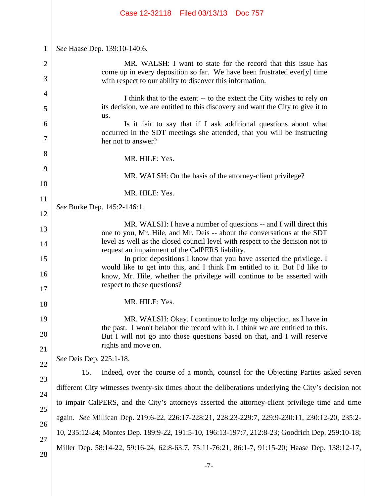|                     | Case 12-32118   Filed 03/13/13   Doc 757                                                                                                                                                                                                                      |  |  |  |
|---------------------|---------------------------------------------------------------------------------------------------------------------------------------------------------------------------------------------------------------------------------------------------------------|--|--|--|
| $\mathbf{1}$        | See Haase Dep. 139:10-140:6.                                                                                                                                                                                                                                  |  |  |  |
| $\overline{2}$<br>3 | MR. WALSH: I want to state for the record that this issue has<br>come up in every deposition so far. We have been frustrated ever[y] time<br>with respect to our ability to discover this information.                                                        |  |  |  |
| 4<br>5              | I think that to the extent -- to the extent the City wishes to rely on<br>its decision, we are entitled to this discovery and want the City to give it to<br>us.                                                                                              |  |  |  |
| 6<br>7              | Is it fair to say that if I ask additional questions about what<br>occurred in the SDT meetings she attended, that you will be instructing<br>her not to answer?                                                                                              |  |  |  |
| 8<br>9              | MR. HILE: Yes.                                                                                                                                                                                                                                                |  |  |  |
| 10                  | MR. WALSH: On the basis of the attorney-client privilege?                                                                                                                                                                                                     |  |  |  |
| 11                  | MR. HILE: Yes.<br>See Burke Dep. 145:2-146:1.                                                                                                                                                                                                                 |  |  |  |
| 12<br>13            | MR. WALSH: I have a number of questions -- and I will direct this                                                                                                                                                                                             |  |  |  |
| 14                  | one to you, Mr. Hile, and Mr. Deis -- about the conversations at the SDT<br>level as well as the closed council level with respect to the decision not to<br>request an impairment of the CalPERS liability.                                                  |  |  |  |
| 15                  | In prior depositions I know that you have asserted the privilege. I<br>would like to get into this, and I think I'm entitled to it. But I'd like to<br>know, Mr. Hile, whether the privilege will continue to be asserted with<br>respect to these questions? |  |  |  |
| 16<br>17            |                                                                                                                                                                                                                                                               |  |  |  |
| 18                  | MR. HILE: Yes.                                                                                                                                                                                                                                                |  |  |  |
| 19<br>20            | MR. WALSH: Okay. I continue to lodge my objection, as I have in<br>the past. I won't belabor the record with it. I think we are entitled to this.                                                                                                             |  |  |  |
| 21                  | But I will not go into those questions based on that, and I will reserve<br>rights and move on.                                                                                                                                                               |  |  |  |
| 22                  | See Deis Dep. 225:1-18.                                                                                                                                                                                                                                       |  |  |  |
| 23                  | Indeed, over the course of a month, counsel for the Objecting Parties asked seven<br>15.                                                                                                                                                                      |  |  |  |
| 24                  | different City witnesses twenty-six times about the deliberations underlying the City's decision not                                                                                                                                                          |  |  |  |
| 25                  | to impair CalPERS, and the City's attorneys asserted the attorney-client privilege time and time                                                                                                                                                              |  |  |  |
| 26                  | again. See Millican Dep. 219:6-22, 226:17-228:21, 228:23-229:7, 229:9-230:11, 230:12-20, 235:2-                                                                                                                                                               |  |  |  |
| 27                  | 10, 235:12-24; Montes Dep. 189:9-22, 191:5-10, 196:13-197:7, 212:8-23; Goodrich Dep. 259:10-18;                                                                                                                                                               |  |  |  |
| 28                  | Miller Dep. 58:14-22, 59:16-24, 62:8-63:7, 75:11-76:21, 86:1-7, 91:15-20; Haase Dep. 138:12-17,                                                                                                                                                               |  |  |  |
|                     | $-7-$                                                                                                                                                                                                                                                         |  |  |  |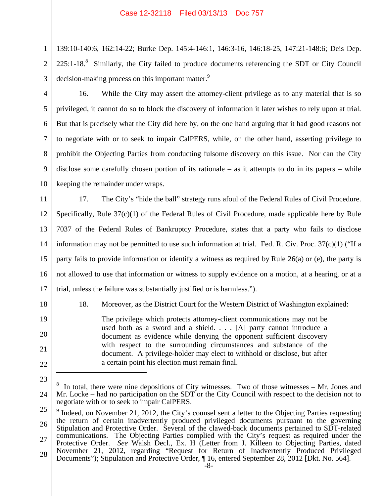139:10-140:6, 162:14-22; Burke Dep. 145:4-146:1, 146:3-16, 146:18-25, 147:21-148:6; Deis Dep.  $225:1-18$ .<sup>8</sup> Similarly, the City failed to produce documents referencing the SDT or City Council decision-making process on this important matter.<sup>9</sup>

3 4

5

6

7

8

9

10

18

19

20

21

22

 $\overline{a}$ 

1

2

16. While the City may assert the attorney-client privilege as to any material that is so privileged, it cannot do so to block the discovery of information it later wishes to rely upon at trial. But that is precisely what the City did here by, on the one hand arguing that it had good reasons not to negotiate with or to seek to impair CalPERS, while, on the other hand, asserting privilege to prohibit the Objecting Parties from conducting fulsome discovery on this issue. Nor can the City disclose some carefully chosen portion of its rationale – as it attempts to do in its papers – while keeping the remainder under wraps.

11 12 13 14 15 16 17 17. The City's "hide the ball" strategy runs afoul of the Federal Rules of Civil Procedure. Specifically, Rule  $37(c)(1)$  of the Federal Rules of Civil Procedure, made applicable here by Rule 7037 of the Federal Rules of Bankruptcy Procedure, states that a party who fails to disclose information may not be permitted to use such information at trial. Fed. R. Civ. Proc.  $37(c)(1)$  ("If a party fails to provide information or identify a witness as required by Rule 26(a) or (e), the party is not allowed to use that information or witness to supply evidence on a motion, at a hearing, or at a trial, unless the failure was substantially justified or is harmless.").

18. Moreover, as the District Court for the Western District of Washington explained:

The privilege which protects attorney-client communications may not be used both as a sword and a shield. . . . [A] party cannot introduce a document as evidence while denying the opponent sufficient discovery with respect to the surrounding circumstances and substance of the document. A privilege-holder may elect to withhold or disclose, but after a certain point his election must remain final.

<sup>23</sup> 24 8 In total, there were nine depositions of City witnesses. Two of those witnesses – Mr. Jones and Mr. Locke – had no participation on the SDT or the City Council with respect to the decision not to negotiate with or to seek to impair CalPERS.

<sup>25</sup> 26 27 28 -8- <sup>9</sup> Indeed, on November 21, 2012, the City's counsel sent a letter to the Objecting Parties requesting the return of certain inadvertently produced privileged documents pursuant to the governing Stipulation and Protective Order. Several of the clawed-back documents pertained to SDT-related communications. The Objecting Parties complied with the City's request as required under the Protective Order. *See* Walsh Decl., Ex. H (Letter from J. Killeen to Objecting Parties, dated November 21, 2012, regarding "Request for Return of Inadvertently Produced Privileged Documents"); Stipulation and Protective Order, ¶ 16, entered September 28, 2012 [Dkt. No. 564].